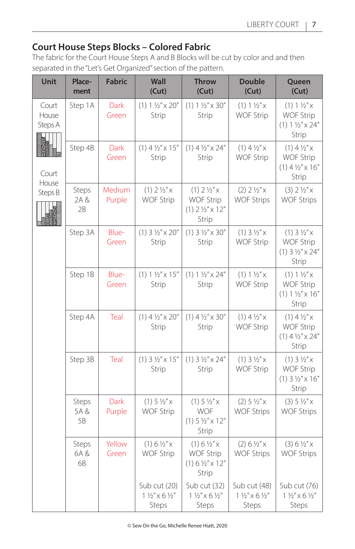## **Court House Steps Blocks – Colored Fabric**

The fabric for the Court House Steps A and B Blocks will be cut by color and and then separated in the "Let's Get Organized" section of the pattern.

| Unit                                                   | Place-<br>ment      | <b>Fabric</b>    | Wall<br>(Cut)                                               | <b>Throw</b><br>(Cut)                                                                   | <b>Double</b><br>(Cut)                                      | Queen<br>(Cut)                                                                       |
|--------------------------------------------------------|---------------------|------------------|-------------------------------------------------------------|-----------------------------------------------------------------------------------------|-------------------------------------------------------------|--------------------------------------------------------------------------------------|
| Court<br>House<br>Steps A<br>Court<br>House<br>Steps B | Step 1A             | Dark<br>Green    | $(1) 1 \frac{1}{2}$ $\times 20$ "<br>Strip                  | $(1) 1 \frac{1}{2}$ $\times 30$ "<br>Strip                                              | $(1) 1 \frac{1}{2} x$<br><b>WOF Strip</b>                   | $(1) 1 \frac{1}{2} x$<br><b>WOF Strip</b><br>$(1) 1 \frac{1}{2} x 24''$<br>Strip     |
|                                                        | Step 4B             | Dark<br>Green    | $(1)$ 4 $\frac{1}{2}$ " x 15"<br>Strip                      | $(1)$ 4 $\frac{1}{2}$ " x 24"<br><b>Strip</b>                                           | $(1)$ 4 $\frac{1}{2}x$<br><b>WOF Strip</b>                  | $(1)$ 4 $\frac{1}{2}x$<br><b>WOF Strip</b><br>$(1)$ 4 $\frac{1}{2}$ " x 16"<br>Strip |
|                                                        | Steps<br>2A &<br>2B | Medium<br>Purple | $(1)$ 2 $1/2$ " x<br><b>WOF Strip</b>                       | $(1)$ 2 $\frac{1}{2}$ " x<br><b>WOF Strip</b><br>$(1)$ 2 $\frac{1}{2}$ " x 12"<br>Strip | $(2)$ 2 $\frac{1}{2}$ " x<br><b>WOF Strips</b>              | $(3) 2 \frac{1}{2}x^{2}xWOF Strips$                                                  |
|                                                        | Step 3A             | Blue-<br>Green   | $(1)$ 3 $1/2$ " $\times$ 20"<br>Strip                       | $(1)$ 3 $1/2$ " $\times$ 30"<br>Strip                                                   | $(1) 3 1/2''$ X<br><b>WOF Strip</b>                         | $(1) 3 1/2''$ X<br><b>WOF Strip</b><br>$(1)$ 3 $1/2$ " $\times$ 24"<br>Strip         |
|                                                        | Step 1B             | Blue-<br>Green   | $(1) 1 \frac{1}{2}$ $\times 15$ "<br>Strip                  | $(1) 1 \frac{1}{2} x \times 24$ "<br>Strip                                              | $(1) 1 \frac{1}{2} x$<br><b>WOF Strip</b>                   | $(1) 1 \frac{1}{2} x$<br><b>WOF Strip</b><br>$(1) 1 1/2''$ x 16"<br>Strip            |
|                                                        | Step 4A             | Teal             | $(1)$ 4 $\frac{1}{2}$ " x 20"<br>Strip                      | $(1)$ 4 $\frac{1}{2}$ " x 30"<br>Strip                                                  | $(1)$ 4 $\frac{1}{2}x$<br><b>WOF Strip</b>                  | $(1)$ 4 $\frac{1}{2}x$<br><b>WOF Strip</b><br>$(1)$ 4 $\frac{1}{2}$ " x 24"<br>Strip |
|                                                        | Step 3B             | Teal             | $(1)$ 3 $1/2$ " x 15"<br>Strip                              | $(1)$ 3 $1/2$ " x 24"<br>Strip                                                          | $(1) 3 1/2''$ X<br><b>WOF Strip</b>                         | $(1)$ 3 $1/2''$ x<br><b>WOF Strip</b><br>$(1)$ 3 $1/2$ " x 16"<br>Strip              |
|                                                        | Steps<br>5A&<br>5B  | Dark<br>Purple   | $(1)$ 5 $\frac{1}{2}x$<br><b>WOF Strip</b>                  | $(1)$ 5 $\frac{1}{2}x$<br><b>WOF</b><br>$(1)$ 5 $\frac{1}{2}$ " x 12"<br>Strip          | $(2)$ 5 $1/2''$ x<br><b>WOF Strips</b>                      | $(3) 5 1/2''$ X<br><b>WOF Strips</b>                                                 |
|                                                        | Steps<br>6A &<br>6B | Yellow<br>Green  | $(1) 6 \frac{1}{2} x$<br><b>WOF Strip</b>                   | (1) 6 ½''x<br><b>WOF Strip</b><br>$(1) 6 ½'' \times 12''$<br>Strip                      | $(2) 6 1/2''$ x<br><b>WOF Strips</b>                        | $(3) 6 1/2''$ x<br><b>WOF Strips</b>                                                 |
|                                                        |                     |                  | Sub cut (20)<br>$1\frac{1}{2}x$ × 6 $\frac{1}{2}x$<br>Steps | Sub cut (32)<br>$1 \frac{1}{2} x$ x 6 $\frac{1}{2} x$<br>Steps                          | Sub cut (48)<br>$1\frac{1}{2}x$ × 6 $\frac{1}{2}x$<br>Steps | Sub cut (76)<br>$1 \frac{1}{2} x$ x 6 $\frac{1}{2} x$<br>Steps                       |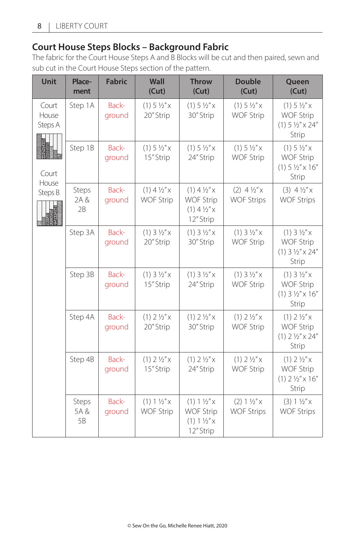## **Court House Steps Blocks – Background Fabric**

The fabric for the Court House Steps A and B Blocks will be cut and then paired, sewn and sub cut in the Court House Steps section of the pattern.

| Unit                                                   | Place-<br>ment      | <b>Fabric</b>   | Wall<br>(Cut)                              | <b>Throw</b><br>(Cut)                                                             | <b>Double</b><br>(Cut)                        | Queen<br>(Cut)                                                                         |
|--------------------------------------------------------|---------------------|-----------------|--------------------------------------------|-----------------------------------------------------------------------------------|-----------------------------------------------|----------------------------------------------------------------------------------------|
| Court<br>House<br>Steps A<br>Court<br>House<br>Steps B | Step 1A             | Back-<br>ground | $(1)$ 5 $1/2$ " x<br>20" Strip             | $(1)$ 5 $\frac{1}{2}x$<br>30" Strip                                               | $(1) 5 1/2''$ X<br><b>WOF Strip</b>           | $(1)$ 5 $\frac{1}{2}x$<br><b>WOF Strip</b><br>$(1)$ 5 $\frac{1}{2}$ " x 24"<br>Strip   |
|                                                        | Step 1B             | Back-<br>ground | $(1)$ 5 $\frac{1}{2}x$<br>15" Strip        | $(1)$ 5 $\frac{1}{2}x$<br>24" Strip                                               | $(1)$ 5 $\frac{1}{2}x$<br><b>WOF Strip</b>    | $(1)$ 5 $\frac{1}{2}x$<br><b>WOF Strip</b><br>$(1)$ 5 $\frac{1}{2}$ " x 16"<br>Strip   |
|                                                        | Steps<br>2A &<br>2B | Back-<br>ground | $(1)$ 4 $\frac{1}{2}x$<br><b>WOF Strip</b> | $(1)$ 4 $\frac{1}{2}x$<br><b>WOF Strip</b><br>$(1)$ 4 $\frac{1}{2}x$<br>12" Strip | $(2)$ 4 $\frac{1}{2}x$<br><b>WOF Strips</b>   | $(3)$ 4 $\frac{1}{2}x$<br><b>WOF Strips</b>                                            |
|                                                        | Step 3A             | Back-<br>ground | $(1) 3 1/2''$ X<br>20" Strip               | $(1)$ 3 $1/2''$ x<br>30" Strip                                                    | $(1)$ 3 $1/2$ " x<br><b>WOF Strip</b>         | $(1)$ 3 $1/2''$ x<br><b>WOF Strip</b><br>$(1)$ 3 $1/2$ " $\times$ 24"<br>Strip         |
|                                                        | Step 3B             | Back-<br>ground | $(1)$ 3 $1/2$ " x<br>15" Strip             | $(1)$ 3 $1/2$ " x<br>24" Strip                                                    | $(1)$ 3 $1/2$ " x<br><b>WOF Strip</b>         | $(1)$ 3 $1/2$ " x<br><b>WOF Strip</b><br>$(1)$ 3 $1/2$ " $\times$ 16"<br>Strip         |
|                                                        | Step 4A             | Back-<br>ground | $(1)$ 2 $\frac{1}{2}$ " x<br>20" Strip     | $(1)$ 2 $\frac{1}{2}x$<br>30" Strip                                               | $(1)$ 2 $\frac{1}{2}$ " x<br><b>WOF Strip</b> | $(1)$ 2 $\frac{1}{2}$ "x<br><b>WOF Strip</b><br>$(1)$ 2 $\frac{1}{2}$ " x 24"<br>Strip |
|                                                        | Step 4B             | Back-<br>ground | $(1)$ 2 $\frac{1}{2}$ " x<br>15" Strip     | $(1)$ 2 $\frac{1}{2}$ "x<br>24" Strip                                             | $(1)$ 2 $\frac{1}{2}$ " x<br><b>WOF Strip</b> | $(1)$ 2 $\frac{1}{2}$ "x<br><b>WOF Strip</b><br>$(1)$ 2 $\frac{1}{2}$ " x 16"<br>Strip |
|                                                        | Steps<br>5A&<br>5B  | Back-<br>ground | $(1) 1 \frac{1}{2} x$<br><b>WOF Strip</b>  | $(1) 1 \frac{1}{2} x$<br><b>WOF Strip</b><br>$(1) 1 \frac{1}{2} x$<br>12" Strip   | $(2) 1 \frac{1}{2} x$<br><b>WOF Strips</b>    | $(3) 1 1/2''$ X<br><b>WOF Strips</b>                                                   |